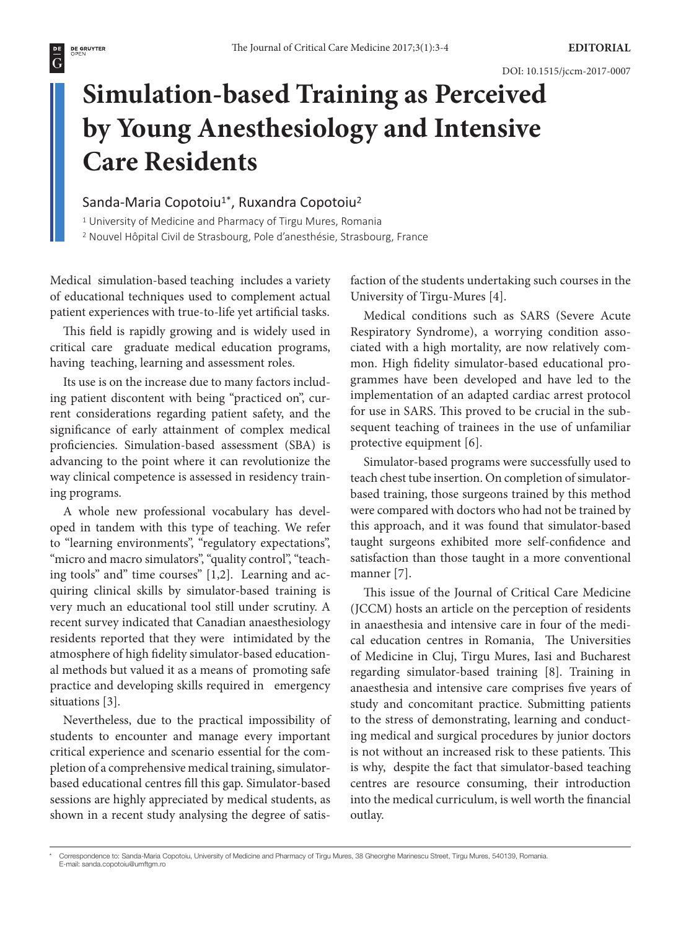## **Simulation-based Training as Perceived by Young Anesthesiology and Intensive Care Residents**

## Sanda-Maria Copotoiu<sup>1</sup>\*, Ruxandra Copotoiu<sup>2</sup>

<sup>1</sup> University of Medicine and Pharmacy of Tirgu Mures, Romania

2 Nouvel Hôpital Civil de Strasbourg, Pole d'anesthésie, Strasbourg, France

Medical simulation-based teaching includes a variety of educational techniques used to complement actual patient experiences with true-to-life yet artificial tasks.

This field is rapidly growing and is widely used in critical care graduate medical education programs, having teaching, learning and assessment roles.

Its use is on the increase due to many factors including patient discontent with being "practiced on", current considerations regarding patient safety, and the significance of early attainment of complex medical proficiencies. Simulation-based assessment (SBA) is advancing to the point where it can revolutionize the way clinical competence is assessed in residency training programs.

A whole new professional vocabulary has developed in tandem with this type of teaching. We refer to "learning environments", "regulatory expectations", "micro and macro simulators", "quality control", "teaching tools" and" time courses" [1,2]. Learning and acquiring clinical skills by simulator-based training is very much an educational tool still under scrutiny. A recent survey indicated that Canadian anaesthesiology residents reported that they were intimidated by the atmosphere of high fidelity simulator-based educational methods but valued it as a means of promoting safe practice and developing skills required in emergency situations [3].

Nevertheless, due to the practical impossibility of students to encounter and manage every important critical experience and scenario essential for the completion of a comprehensive medical training, simulatorbased educational centres fill this gap. Simulator-based sessions are highly appreciated by medical students, as shown in a recent study analysing the degree of satisfaction of the students undertaking such courses in the University of Tirgu-Mures [4].

Medical conditions such as SARS (Severe Acute Respiratory Syndrome), a worrying condition associated with a high mortality, are now relatively common. High fidelity simulator-based educational programmes have been developed and have led to the implementation of an adapted cardiac arrest protocol for use in SARS. This proved to be crucial in the subsequent teaching of trainees in the use of unfamiliar protective equipment [6].

Simulator-based programs were successfully used to teach chest tube insertion. On completion of simulatorbased training, those surgeons trained by this method were compared with doctors who had not be trained by this approach, and it was found that simulator-based taught surgeons exhibited more self-confidence and satisfaction than those taught in a more conventional manner [7].

This issue of the Journal of Critical Care Medicine (JCCM) hosts an article on the perception of residents in anaesthesia and intensive care in four of the medical education centres in Romania, The Universities of Medicine in Cluj, Tirgu Mures, Iasi and Bucharest regarding simulator-based training [8]. Training in anaesthesia and intensive care comprises five years of study and concomitant practice. Submitting patients to the stress of demonstrating, learning and conducting medical and surgical procedures by junior doctors is not without an increased risk to these patients. This is why, despite the fact that simulator-based teaching centres are resource consuming, their introduction into the medical curriculum, is well worth the financial outlay.

<sup>\*</sup> Correspondence to: Sanda-Maria Copotoiu, University of Medicine and Pharmacy of Tirgu Mures, 38 Gheorghe Marinescu Street, Tirgu Mures, 540139, Romania. E-mail: [sanda.copotoiu@umftgm.ro](mailto:sanda.copotoiu@umftgm.ro)